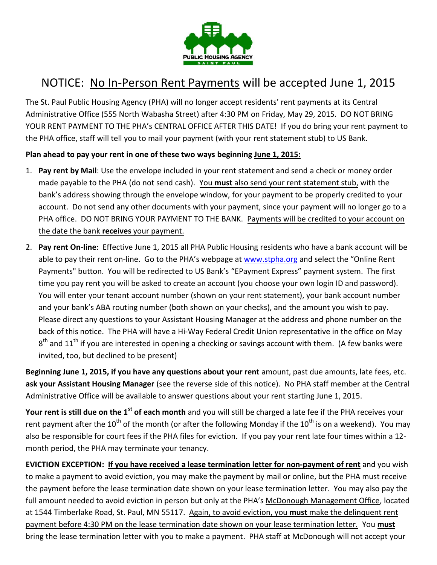

## NOTICE: No In-Person Rent Payments will be accepted June 1, 2015

The St. Paul Public Housing Agency (PHA) will no longer accept residents' rent payments at its Central Administrative Office (555 North Wabasha Street) after 4:30 PM on Friday, May 29, 2015. DO NOT BRING YOUR RENT PAYMENT TO THE PHA's CENTRAL OFFICE AFTER THIS DATE! If you do bring your rent payment to the PHA office, staff will tell you to mail your payment (with your rent statement stub) to US Bank.

## **Plan ahead to pay your rent in one of these two ways beginning June 1, 2015:**

- 1. **Pay rent by Mail**: Use the envelope included in your rent statement and send a check or money order made payable to the PHA (do not send cash). You **must** also send your rent statement stub, with the bank's address showing through the envelope window, for your payment to be properly credited to your account. Do not send any other documents with your payment, since your payment will no longer go to a PHA office. DO NOT BRING YOUR PAYMENT TO THE BANK. Payments will be credited to your account on the date the bank **receives** your payment.
- 2. **Pay rent On-line**: Effective June 1, 2015 all PHA Public Housing residents who have a bank account will be able to pay their rent on-line. Go to the PHA's webpage at [www.stpha.org](http://www.stpha.org/) and select the "Online Rent Payments" button. You will be redirected to US Bank's "EPayment Express" payment system. The first time you pay rent you will be asked to create an account (you choose your own login ID and password). You will enter your tenant account number (shown on your rent statement), your bank account number and your bank's ABA routing number (both shown on your checks), and the amount you wish to pay. Please direct any questions to your Assistant Housing Manager at the address and phone number on the back of this notice. The PHA will have a Hi-Way Federal Credit Union representative in the office on May  $8<sup>th</sup>$  and 11<sup>th</sup> if you are interested in opening a checking or savings account with them. (A few banks were invited, too, but declined to be present)

**Beginning June 1, 2015, if you have any questions about your rent** amount, past due amounts, late fees, etc. **ask your Assistant Housing Manager** (see the reverse side of this notice). No PHA staff member at the Central Administrative Office will be available to answer questions about your rent starting June 1, 2015.

**Your rent is still due on the 1st of each month** and you will still be charged a late fee if the PHA receives your rent payment after the 10<sup>th</sup> of the month (or after the following Monday if the 10<sup>th</sup> is on a weekend). You may also be responsible for court fees if the PHA files for eviction. If you pay your rent late four times within a 12 month period, the PHA may terminate your tenancy.

**EVICTION EXCEPTION: If you have received a lease termination letter for non-payment of rent** and you wish to make a payment to avoid eviction, you may make the payment by mail or online, but the PHA must receive the payment before the lease termination date shown on your lease termination letter. You may also pay the full amount needed to avoid eviction in person but only at the PHA's McDonough Management Office, located at 1544 Timberlake Road, St. Paul, MN 55117. Again, to avoid eviction, you **must** make the delinquent rent payment before 4:30 PM on the lease termination date shown on your lease termination letter. You **must** bring the lease termination letter with you to make a payment. PHA staff at McDonough will not accept your